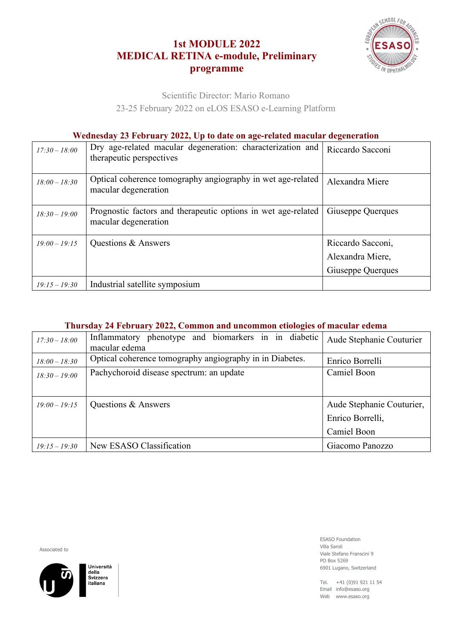## **1st MODULE 2022 MEDICAL RETINA e-module, Preliminary programme**



Scientific Director: Mario Romano

23-25 February 2022 on eLOS ESASO e-Learning Platform

## **Wednesday 23 February 2022, Up to date on age-related macular degeneration**

| $17:30 - 18:00$ | Dry age-related macular degeneration: characterization and<br>therapeutic perspectives | Riccardo Sacconi                                           |
|-----------------|----------------------------------------------------------------------------------------|------------------------------------------------------------|
| $18:00 - 18:30$ | Optical coherence tomography angiography in wet age-related<br>macular degeneration    | Alexandra Miere                                            |
| $18:30 - 19:00$ | Prognostic factors and therapeutic options in wet age-related<br>macular degeneration  | Giuseppe Querques                                          |
| $19:00 - 19:15$ | Questions & Answers                                                                    | Riccardo Sacconi,<br>Alexandra Miere,<br>Giuseppe Querques |
| $19:15 - 19:30$ | Industrial satellite symposium                                                         |                                                            |

## **Thursday 24 February 2022, Common and uncommon etiologies of macular edema**

| $17:30 - 18:00$ | Inflammatory phenotype and biomarkers in in diabetic<br>macular edema | Aude Stephanie Couturier  |
|-----------------|-----------------------------------------------------------------------|---------------------------|
| $18:00 - 18:30$ | Optical coherence tomography angiography in in Diabetes.              | Enrico Borrelli           |
| $18:30 - 19:00$ | Pachychoroid disease spectrum: an update                              | Camiel Boon               |
|                 |                                                                       |                           |
| $19:00 - 19:15$ | Questions & Answers                                                   | Aude Stephanie Couturier, |
|                 |                                                                       | Enrico Borrelli,          |
|                 |                                                                       | Camiel Boon               |
| $19:15 - 19:30$ | New ESASO Classification                                              | Giacomo Panozzo           |

Associated to



ESASO Foundation Villa Saroli Viale Stefano Franscini 9 PO Box 5269 6901 Lugano, Switzerland

Tel. +41 (0)91 921 11 54 Email info@esaso.org Web www.esaso.org